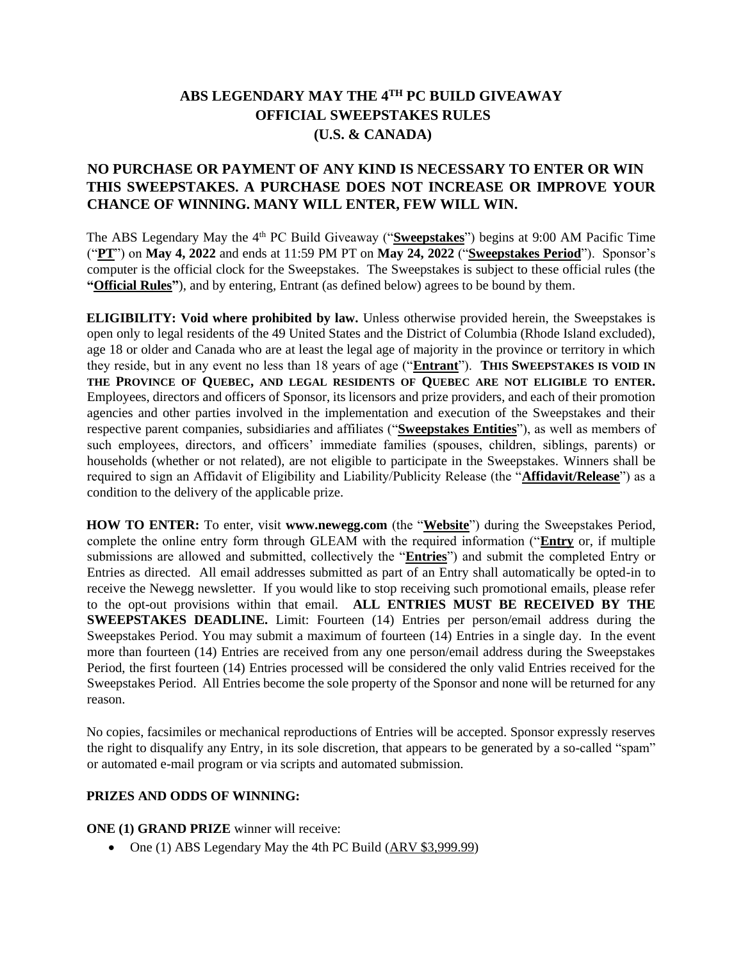## **ABS LEGENDARY MAY THE 4TH PC BUILD GIVEAWAY OFFICIAL SWEEPSTAKES RULES (U.S. & CANADA)**

## **NO PURCHASE OR PAYMENT OF ANY KIND IS NECESSARY TO ENTER OR WIN THIS SWEEPSTAKES. A PURCHASE DOES NOT INCREASE OR IMPROVE YOUR CHANCE OF WINNING. MANY WILL ENTER, FEW WILL WIN.**

The ABS Legendary May the 4<sup>th</sup> PC Build Giveaway ("Sweepstakes") begins at 9:00 AM Pacific Time ("**PT**") on **May 4, 2022** and ends at 11:59 PM PT on **May 24, 2022** ("**Sweepstakes Period**"). Sponsor's computer is the official clock for the Sweepstakes. The Sweepstakes is subject to these official rules (the **"Official Rules"**), and by entering, Entrant (as defined below) agrees to be bound by them.

**ELIGIBILITY: Void where prohibited by law.** Unless otherwise provided herein, the Sweepstakes is open only to legal residents of the 49 United States and the District of Columbia (Rhode Island excluded), age 18 or older and Canada who are at least the legal age of majority in the province or territory in which they reside, but in any event no less than 18 years of age ("**Entrant**"). **THIS SWEEPSTAKES IS VOID IN THE PROVINCE OF QUEBEC, AND LEGAL RESIDENTS OF QUEBEC ARE NOT ELIGIBLE TO ENTER.** Employees, directors and officers of Sponsor, its licensors and prize providers, and each of their promotion agencies and other parties involved in the implementation and execution of the Sweepstakes and their respective parent companies, subsidiaries and affiliates ("**Sweepstakes Entities**"), as well as members of such employees, directors, and officers' immediate families (spouses, children, siblings, parents) or households (whether or not related), are not eligible to participate in the Sweepstakes. Winners shall be required to sign an Affidavit of Eligibility and Liability/Publicity Release (the "**Affidavit/Release**") as a condition to the delivery of the applicable prize.

**HOW TO ENTER:** To enter, visit **www.newegg.com** (the "**Website**") during the Sweepstakes Period, complete the online entry form through GLEAM with the required information ("**Entry** or, if multiple submissions are allowed and submitted, collectively the "**Entries**") and submit the completed Entry or Entries as directed. All email addresses submitted as part of an Entry shall automatically be opted-in to receive the Newegg newsletter. If you would like to stop receiving such promotional emails, please refer to the opt-out provisions within that email. **ALL ENTRIES MUST BE RECEIVED BY THE SWEEPSTAKES DEADLINE.** Limit: Fourteen (14) Entries per person/email address during the Sweepstakes Period. You may submit a maximum of fourteen (14) Entries in a single day. In the event more than fourteen (14) Entries are received from any one person/email address during the Sweepstakes Period, the first fourteen (14) Entries processed will be considered the only valid Entries received for the Sweepstakes Period. All Entries become the sole property of the Sponsor and none will be returned for any reason.

No copies, facsimiles or mechanical reproductions of Entries will be accepted. Sponsor expressly reserves the right to disqualify any Entry, in its sole discretion, that appears to be generated by a so-called "spam" or automated e-mail program or via scripts and automated submission.

## **PRIZES AND ODDS OF WINNING:**

**ONE (1) GRAND PRIZE** winner will receive:

• One (1) ABS Legendary May the 4th PC Build (ARV \$3,999.99)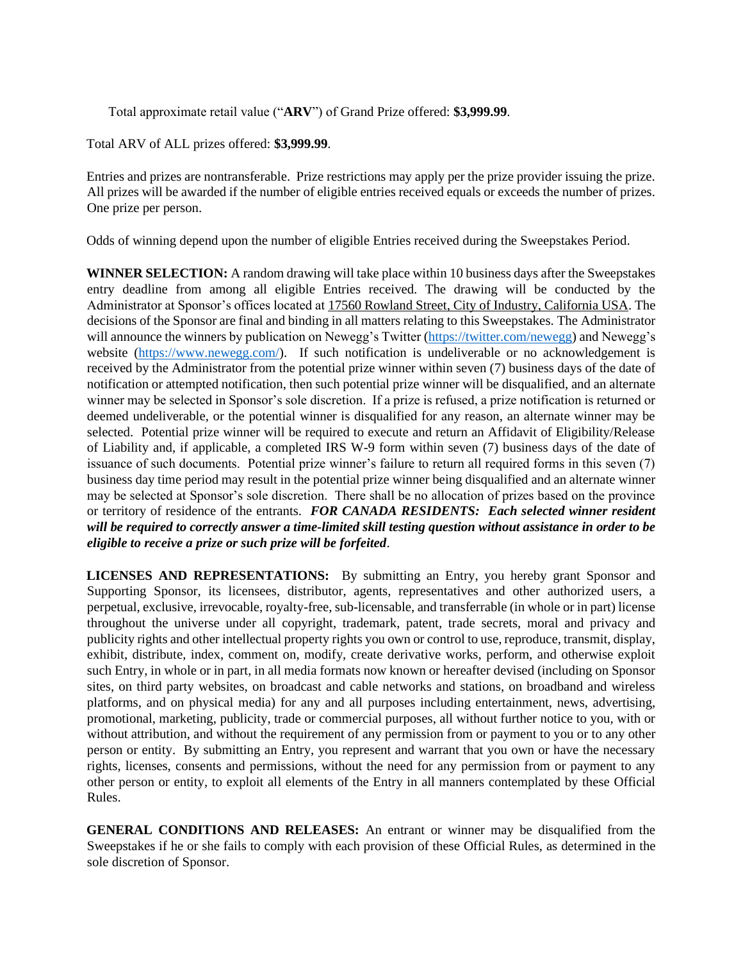Total approximate retail value ("**ARV**") of Grand Prize offered: **\$3,999.99**.

Total ARV of ALL prizes offered: **\$3,999.99**.

Entries and prizes are nontransferable. Prize restrictions may apply per the prize provider issuing the prize. All prizes will be awarded if the number of eligible entries received equals or exceeds the number of prizes. One prize per person.

Odds of winning depend upon the number of eligible Entries received during the Sweepstakes Period.

**WINNER SELECTION:** A random drawing will take place within 10 business days after the Sweepstakes entry deadline from among all eligible Entries received. The drawing will be conducted by the Administrator at Sponsor's offices located at 17560 Rowland Street, City of Industry, California USA. The decisions of the Sponsor are final and binding in all matters relating to this Sweepstakes. The Administrator will announce the winners by publication on Newegg's Twitter [\(https://twitter.com/newegg\)](https://twitter.com/newegg) and Newegg's website [\(https://www.newegg.com/\)](https://www.newegg.com/). If such notification is undeliverable or no acknowledgement is received by the Administrator from the potential prize winner within seven (7) business days of the date of notification or attempted notification, then such potential prize winner will be disqualified, and an alternate winner may be selected in Sponsor's sole discretion. If a prize is refused, a prize notification is returned or deemed undeliverable, or the potential winner is disqualified for any reason, an alternate winner may be selected. Potential prize winner will be required to execute and return an Affidavit of Eligibility/Release of Liability and, if applicable, a completed IRS W-9 form within seven (7) business days of the date of issuance of such documents. Potential prize winner's failure to return all required forms in this seven (7) business day time period may result in the potential prize winner being disqualified and an alternate winner may be selected at Sponsor's sole discretion. There shall be no allocation of prizes based on the province or territory of residence of the entrants. *FOR CANADA RESIDENTS: Each selected winner resident will be required to correctly answer a time-limited skill testing question without assistance in order to be eligible to receive a prize or such prize will be forfeited*.

**LICENSES AND REPRESENTATIONS:** By submitting an Entry, you hereby grant Sponsor and Supporting Sponsor, its licensees, distributor, agents, representatives and other authorized users, a perpetual, exclusive, irrevocable, royalty-free, sub-licensable, and transferrable (in whole or in part) license throughout the universe under all copyright, trademark, patent, trade secrets, moral and privacy and publicity rights and other intellectual property rights you own or control to use, reproduce, transmit, display, exhibit, distribute, index, comment on, modify, create derivative works, perform, and otherwise exploit such Entry, in whole or in part, in all media formats now known or hereafter devised (including on Sponsor sites, on third party websites, on broadcast and cable networks and stations, on broadband and wireless platforms, and on physical media) for any and all purposes including entertainment, news, advertising, promotional, marketing, publicity, trade or commercial purposes, all without further notice to you, with or without attribution, and without the requirement of any permission from or payment to you or to any other person or entity. By submitting an Entry, you represent and warrant that you own or have the necessary rights, licenses, consents and permissions, without the need for any permission from or payment to any other person or entity, to exploit all elements of the Entry in all manners contemplated by these Official Rules.

**GENERAL CONDITIONS AND RELEASES:** An entrant or winner may be disqualified from the Sweepstakes if he or she fails to comply with each provision of these Official Rules, as determined in the sole discretion of Sponsor.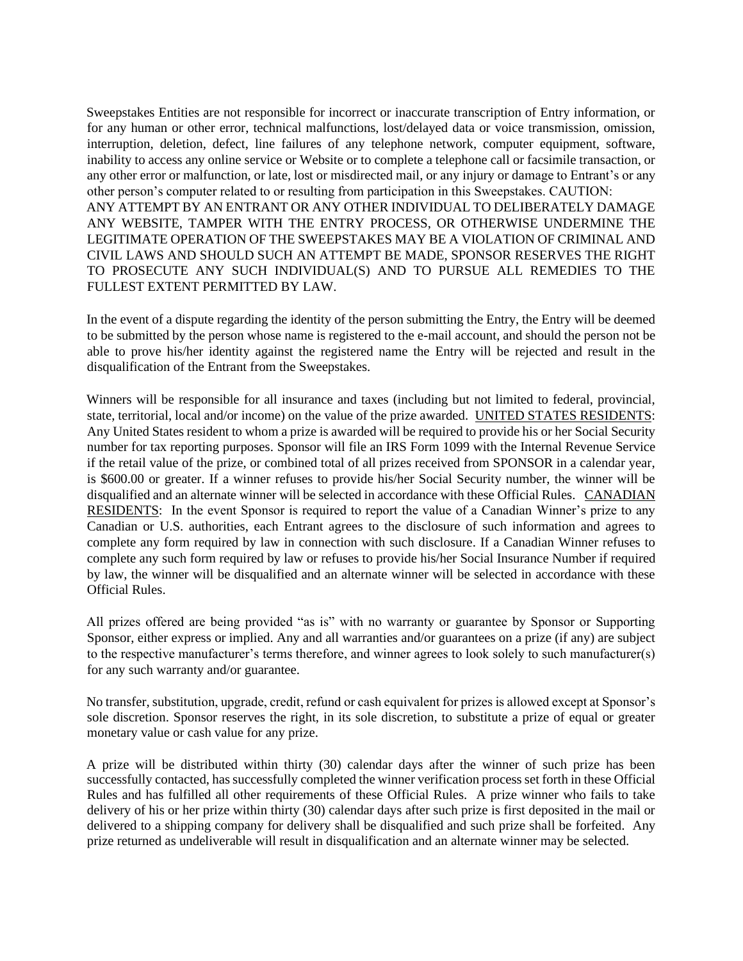Sweepstakes Entities are not responsible for incorrect or inaccurate transcription of Entry information, or for any human or other error, technical malfunctions, lost/delayed data or voice transmission, omission, interruption, deletion, defect, line failures of any telephone network, computer equipment, software, inability to access any online service or Website or to complete a telephone call or facsimile transaction, or any other error or malfunction, or late, lost or misdirected mail, or any injury or damage to Entrant's or any other person's computer related to or resulting from participation in this Sweepstakes. CAUTION: ANY ATTEMPT BY AN ENTRANT OR ANY OTHER INDIVIDUAL TO DELIBERATELY DAMAGE ANY WEBSITE, TAMPER WITH THE ENTRY PROCESS, OR OTHERWISE UNDERMINE THE LEGITIMATE OPERATION OF THE SWEEPSTAKES MAY BE A VIOLATION OF CRIMINAL AND CIVIL LAWS AND SHOULD SUCH AN ATTEMPT BE MADE, SPONSOR RESERVES THE RIGHT TO PROSECUTE ANY SUCH INDIVIDUAL(S) AND TO PURSUE ALL REMEDIES TO THE FULLEST EXTENT PERMITTED BY LAW.

In the event of a dispute regarding the identity of the person submitting the Entry, the Entry will be deemed to be submitted by the person whose name is registered to the e-mail account, and should the person not be able to prove his/her identity against the registered name the Entry will be rejected and result in the disqualification of the Entrant from the Sweepstakes.

Winners will be responsible for all insurance and taxes (including but not limited to federal, provincial, state, territorial, local and/or income) on the value of the prize awarded. UNITED STATES RESIDENTS: Any United States resident to whom a prize is awarded will be required to provide his or her Social Security number for tax reporting purposes. Sponsor will file an IRS Form 1099 with the Internal Revenue Service if the retail value of the prize, or combined total of all prizes received from SPONSOR in a calendar year, is \$600.00 or greater. If a winner refuses to provide his/her Social Security number, the winner will be disqualified and an alternate winner will be selected in accordance with these Official Rules. CANADIAN RESIDENTS: In the event Sponsor is required to report the value of a Canadian Winner's prize to any Canadian or U.S. authorities, each Entrant agrees to the disclosure of such information and agrees to complete any form required by law in connection with such disclosure. If a Canadian Winner refuses to complete any such form required by law or refuses to provide his/her Social Insurance Number if required by law, the winner will be disqualified and an alternate winner will be selected in accordance with these Official Rules.

All prizes offered are being provided "as is" with no warranty or guarantee by Sponsor or Supporting Sponsor, either express or implied. Any and all warranties and/or guarantees on a prize (if any) are subject to the respective manufacturer's terms therefore, and winner agrees to look solely to such manufacturer(s) for any such warranty and/or guarantee.

No transfer, substitution, upgrade, credit, refund or cash equivalent for prizes is allowed except at Sponsor's sole discretion. Sponsor reserves the right, in its sole discretion, to substitute a prize of equal or greater monetary value or cash value for any prize.

A prize will be distributed within thirty (30) calendar days after the winner of such prize has been successfully contacted, has successfully completed the winner verification process set forth in these Official Rules and has fulfilled all other requirements of these Official Rules. A prize winner who fails to take delivery of his or her prize within thirty (30) calendar days after such prize is first deposited in the mail or delivered to a shipping company for delivery shall be disqualified and such prize shall be forfeited. Any prize returned as undeliverable will result in disqualification and an alternate winner may be selected.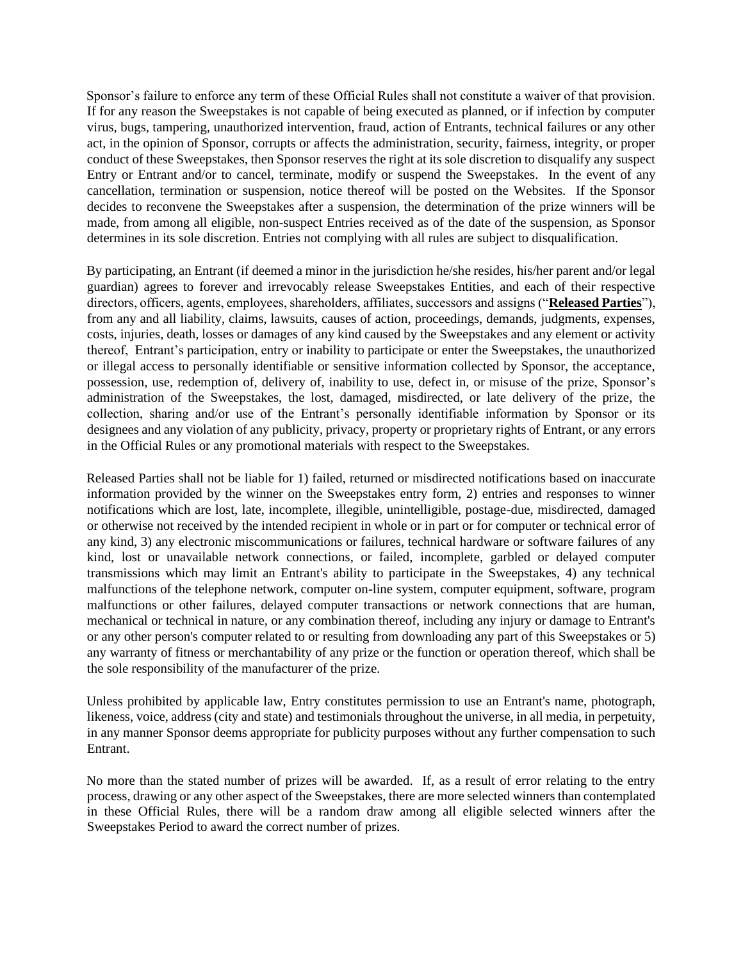Sponsor's failure to enforce any term of these Official Rules shall not constitute a waiver of that provision. If for any reason the Sweepstakes is not capable of being executed as planned, or if infection by computer virus, bugs, tampering, unauthorized intervention, fraud, action of Entrants, technical failures or any other act, in the opinion of Sponsor, corrupts or affects the administration, security, fairness, integrity, or proper conduct of these Sweepstakes, then Sponsor reserves the right at its sole discretion to disqualify any suspect Entry or Entrant and/or to cancel, terminate, modify or suspend the Sweepstakes. In the event of any cancellation, termination or suspension, notice thereof will be posted on the Websites. If the Sponsor decides to reconvene the Sweepstakes after a suspension, the determination of the prize winners will be made, from among all eligible, non-suspect Entries received as of the date of the suspension, as Sponsor determines in its sole discretion. Entries not complying with all rules are subject to disqualification.

By participating, an Entrant (if deemed a minor in the jurisdiction he/she resides, his/her parent and/or legal guardian) agrees to forever and irrevocably release Sweepstakes Entities, and each of their respective directors, officers, agents, employees, shareholders, affiliates, successors and assigns ("**Released Parties**"), from any and all liability, claims, lawsuits, causes of action, proceedings, demands, judgments, expenses, costs, injuries, death, losses or damages of any kind caused by the Sweepstakes and any element or activity thereof, Entrant's participation, entry or inability to participate or enter the Sweepstakes, the unauthorized or illegal access to personally identifiable or sensitive information collected by Sponsor, the acceptance, possession, use, redemption of, delivery of, inability to use, defect in, or misuse of the prize, Sponsor's administration of the Sweepstakes, the lost, damaged, misdirected, or late delivery of the prize, the collection, sharing and/or use of the Entrant's personally identifiable information by Sponsor or its designees and any violation of any publicity, privacy, property or proprietary rights of Entrant, or any errors in the Official Rules or any promotional materials with respect to the Sweepstakes.

Released Parties shall not be liable for 1) failed, returned or misdirected notifications based on inaccurate information provided by the winner on the Sweepstakes entry form, 2) entries and responses to winner notifications which are lost, late, incomplete, illegible, unintelligible, postage-due, misdirected, damaged or otherwise not received by the intended recipient in whole or in part or for computer or technical error of any kind, 3) any electronic miscommunications or failures, technical hardware or software failures of any kind, lost or unavailable network connections, or failed, incomplete, garbled or delayed computer transmissions which may limit an Entrant's ability to participate in the Sweepstakes, 4) any technical malfunctions of the telephone network, computer on-line system, computer equipment, software, program malfunctions or other failures, delayed computer transactions or network connections that are human, mechanical or technical in nature, or any combination thereof, including any injury or damage to Entrant's or any other person's computer related to or resulting from downloading any part of this Sweepstakes or 5) any warranty of fitness or merchantability of any prize or the function or operation thereof, which shall be the sole responsibility of the manufacturer of the prize.

Unless prohibited by applicable law, Entry constitutes permission to use an Entrant's name, photograph, likeness, voice, address (city and state) and testimonials throughout the universe, in all media, in perpetuity, in any manner Sponsor deems appropriate for publicity purposes without any further compensation to such Entrant.

No more than the stated number of prizes will be awarded. If, as a result of error relating to the entry process, drawing or any other aspect of the Sweepstakes, there are more selected winners than contemplated in these Official Rules, there will be a random draw among all eligible selected winners after the Sweepstakes Period to award the correct number of prizes.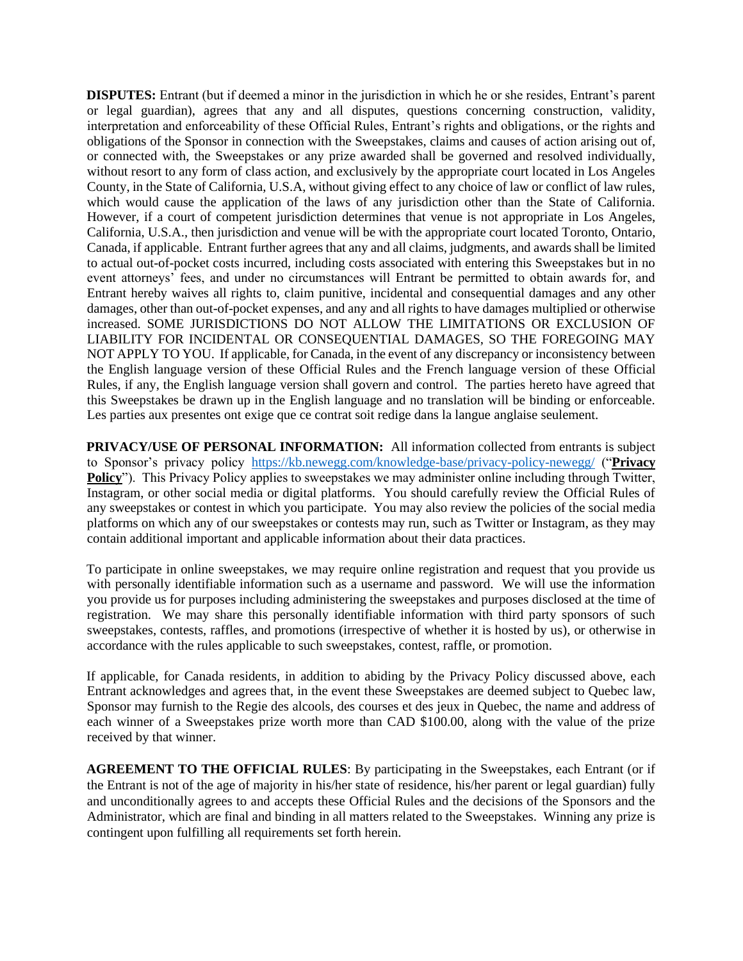**DISPUTES:** Entrant (but if deemed a minor in the jurisdiction in which he or she resides, Entrant's parent or legal guardian), agrees that any and all disputes, questions concerning construction, validity, interpretation and enforceability of these Official Rules, Entrant's rights and obligations, or the rights and obligations of the Sponsor in connection with the Sweepstakes, claims and causes of action arising out of, or connected with, the Sweepstakes or any prize awarded shall be governed and resolved individually, without resort to any form of class action, and exclusively by the appropriate court located in Los Angeles County, in the State of California, U.S.A, without giving effect to any choice of law or conflict of law rules, which would cause the application of the laws of any jurisdiction other than the State of California. However, if a court of competent jurisdiction determines that venue is not appropriate in Los Angeles, California, U.S.A., then jurisdiction and venue will be with the appropriate court located Toronto, Ontario, Canada, if applicable. Entrant further agrees that any and all claims, judgments, and awards shall be limited to actual out-of-pocket costs incurred, including costs associated with entering this Sweepstakes but in no event attorneys' fees, and under no circumstances will Entrant be permitted to obtain awards for, and Entrant hereby waives all rights to, claim punitive, incidental and consequential damages and any other damages, other than out-of-pocket expenses, and any and all rights to have damages multiplied or otherwise increased. SOME JURISDICTIONS DO NOT ALLOW THE LIMITATIONS OR EXCLUSION OF LIABILITY FOR INCIDENTAL OR CONSEQUENTIAL DAMAGES, SO THE FOREGOING MAY NOT APPLY TO YOU. If applicable, for Canada, in the event of any discrepancy or inconsistency between the English language version of these Official Rules and the French language version of these Official Rules, if any, the English language version shall govern and control. The parties hereto have agreed that this Sweepstakes be drawn up in the English language and no translation will be binding or enforceable. Les parties aux presentes ont exige que ce contrat soit redige dans la langue anglaise seulement.

**PRIVACY/USE OF PERSONAL INFORMATION:** All information collected from entrants is subject to Sponsor's privacy policy <https://kb.newegg.com/knowledge-base/privacy-policy-newegg/> ("**Privacy Policy**"). This Privacy Policy applies to sweepstakes we may administer online including through Twitter, Instagram, or other social media or digital platforms. You should carefully review the Official Rules of any sweepstakes or contest in which you participate. You may also review the policies of the social media platforms on which any of our sweepstakes or contests may run, such as Twitter or Instagram, as they may contain additional important and applicable information about their data practices.

To participate in online sweepstakes, we may require online registration and request that you provide us with personally identifiable information such as a username and password. We will use the information you provide us for purposes including administering the sweepstakes and purposes disclosed at the time of registration. We may share this personally identifiable information with third party sponsors of such sweepstakes, contests, raffles, and promotions (irrespective of whether it is hosted by us), or otherwise in accordance with the rules applicable to such sweepstakes, contest, raffle, or promotion.

If applicable, for Canada residents, in addition to abiding by the Privacy Policy discussed above, each Entrant acknowledges and agrees that, in the event these Sweepstakes are deemed subject to Quebec law, Sponsor may furnish to the Regie des alcools, des courses et des jeux in Quebec, the name and address of each winner of a Sweepstakes prize worth more than CAD \$100.00, along with the value of the prize received by that winner.

**AGREEMENT TO THE OFFICIAL RULES**: By participating in the Sweepstakes, each Entrant (or if the Entrant is not of the age of majority in his/her state of residence, his/her parent or legal guardian) fully and unconditionally agrees to and accepts these Official Rules and the decisions of the Sponsors and the Administrator, which are final and binding in all matters related to the Sweepstakes. Winning any prize is contingent upon fulfilling all requirements set forth herein.